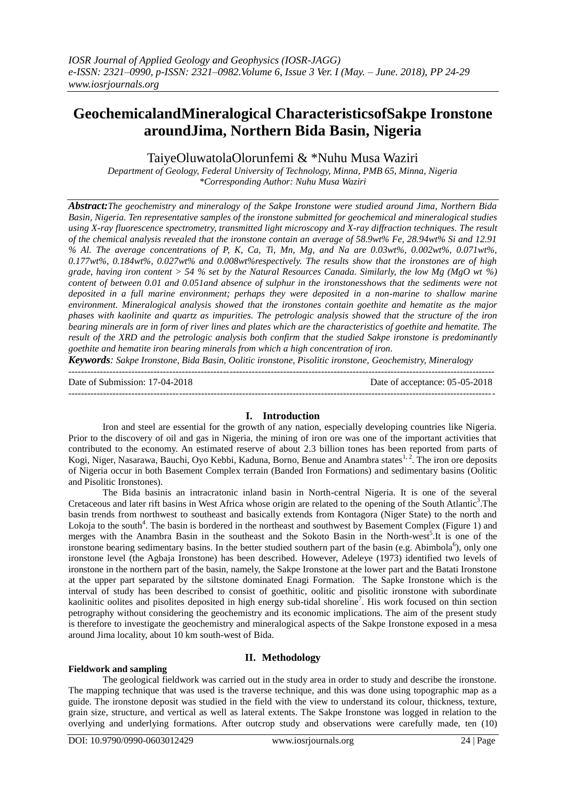# **GeochemicalandMineralogical CharacteristicsofSakpe Ironstone aroundJima, Northern Bida Basin, Nigeria**

TaiyeOluwatolaOlorunfemi & \*Nuhu Musa Waziri

*Department of Geology, Federal University of Technology, Minna, PMB 65, Minna, Nigeria \*Corresponding Author: Nuhu Musa Waziri*

*Abstract:The geochemistry and mineralogy of the Sakpe Ironstone were studied around Jima, Northern Bida Basin, Nigeria. Ten representative samples of the ironstone submitted for geochemical and mineralogical studies using X-ray fluorescence spectrometry, transmitted light microscopy and X-ray diffraction techniques. The result of the chemical analysis revealed that the ironstone contain an average of 58.9wt% Fe, 28.94wt% Si and 12.91 % Al. The average concentrations of P, K, Ca, Ti, Mn, Mg, and Na are 0.03wt%, 0.002wt%, 0.071wt%, 0.177wt%, 0.184wt%, 0.027wt% and 0.008wt%respectively. The results show that the ironstones are of high grade, having iron content > 54 % set by the Natural Resources Canada. Similarly, the low Mg (MgO wt %) content of between 0.01 and 0.051and absence of sulphur in the ironstonesshows that the sediments were not deposited in a full marine environment; perhaps they were deposited in a non-marine to shallow marine environment. Mineralogical analysis showed that the ironstones contain goethite and hematite as the major phases with kaolinite and quartz as impurities. The petrologic analysis showed that the structure of the iron bearing minerals are in form of river lines and plates which are the characteristics of goethite and hematite. The result of the XRD and the petrologic analysis both confirm that the studied Sakpe ironstone is predominantly goethite and hematite iron bearing minerals from which a high concentration of iron.*

*Keywords: Sakpe Ironstone, Bida Basin, Oolitic ironstone, Pisolitic ironstone, Geochemistry, Mineralogy*

--------------------------------------------------------------------------------------------------------------------------------------- Date of Submission: 17-04-2018 Date of acceptance: 05-05-2018 --------------------------------------------------------------------------------------------------------------------------------------*-*

# **I. Introduction**

Iron and steel are essential for the growth of any nation, especially developing countries like Nigeria. Prior to the discovery of oil and gas in Nigeria, the mining of iron ore was one of the important activities that contributed to the economy. An estimated reserve of about 2.3 billion tones has been reported from parts of Kogi, Niger, Nasarawa, Bauchi, Oyo Kebbi, Kaduna, Borno, Benue and Anambra states<sup>1, 2</sup>. The iron ore deposits of Nigeria occur in both Basement Complex terrain (Banded Iron Formations) and sedimentary basins (Oolitic and Pisolitic Ironstones).

The Bida basinis an intracratonic inland basin in North-central Nigeria. It is one of the several Cretaceous and later rift basins in West Africa whose origin are related to the opening of the South Atlantic<sup>3</sup>. The basin trends from northwest to southeast and basically extends from Kontagora (Niger State) to the north and Lokoja to the south<sup>4</sup>. The basin is bordered in the northeast and southwest by Basement Complex (Figure 1) and merges with the Anambra Basin in the southeast and the Sokoto Basin in the North-west<sup>5</sup>. It is one of the ironstone bearing sedimentary basins. In the better studied southern part of the basin (e.g. Abimbola<sup>6</sup>), only one ironstone level (the Agbaja Ironstone) has been described. However, Adeleye (1973) identified two levels of ironstone in the northern part of the basin, namely, the Sakpe Ironstone at the lower part and the Batati Ironstone at the upper part separated by the siltstone dominated Enagi Formation. The Sapke Ironstone which is the interval of study has been described to consist of goethitic, oolitic and pisolitic ironstone with subordinate kaolinitic oolites and pisolites deposited in high energy sub-tidal shoreline<sup>7</sup>. His work focused on thin section petrography without considering the geochemistry and its economic implications. The aim of the present study is therefore to investigate the geochemistry and mineralogical aspects of the Sakpe Ironstone exposed in a mesa around Jima locality, about 10 km south-west of Bida.

## **Fieldwork and sampling**

# **II. Methodology**

The geological fieldwork was carried out in the study area in order to study and describe the ironstone. The mapping technique that was used is the traverse technique, and this was done using topographic map as a guide. The ironstone deposit was studied in the field with the view to understand its colour, thickness, texture, grain size, structure, and vertical as well as lateral extents. The Sakpe Ironstone was logged in relation to the overlying and underlying formations. After outcrop study and observations were carefully made, ten (10)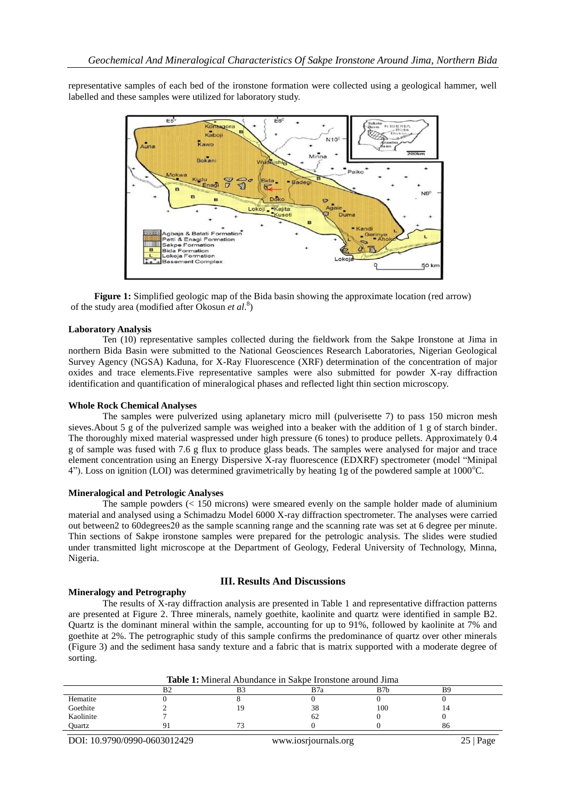representative samples of each bed of the ironstone formation were collected using a geological hammer, well labelled and these samples were utilized for laboratory study.



**Figure 1:** Simplified geologic map of the Bida basin showing the approximate location (red arrow) of the study area (modified after Okosun *et al*. 8 )

## **Laboratory Analysis**

Ten (10) representative samples collected during the fieldwork from the Sakpe Ironstone at Jima in northern Bida Basin were submitted to the National Geosciences Research Laboratories, Nigerian Geological Survey Agency (NGSA) Kaduna, for X-Ray Fluorescence (XRF) determination of the concentration of major oxides and trace elements.Five representative samples were also submitted for powder X-ray diffraction identification and quantification of mineralogical phases and reflected light thin section microscopy.

#### **Whole Rock Chemical Analyses**

The samples were pulverized using aplanetary micro mill (pulverisette 7) to pass 150 micron mesh sieves.About 5 g of the pulverized sample was weighed into a beaker with the addition of 1 g of starch binder. The thoroughly mixed material waspressed under high pressure (6 tones) to produce pellets. Approximately 0.4 g of sample was fused with 7.6 g flux to produce glass beads. The samples were analysed for major and trace element concentration using an Energy Dispersive X-ray fluorescence (EDXRF) spectrometer (model "Minipal 4"). Loss on ignition (LOI) was determined gravimetrically by heating 1g of the powdered sample at  $1000^{\circ}$ C.

#### **Mineralogical and Petrologic Analyses**

The sample powders (< 150 microns) were smeared evenly on the sample holder made of aluminium material and analysed using a Schimadzu Model 6000 X-ray diffraction spectrometer. The analyses were carried out between2 to 60degrees2θ as the sample scanning range and the scanning rate was set at 6 degree per minute. Thin sections of Sakpe ironstone samples were prepared for the petrologic analysis. The slides were studied under transmitted light microscope at the Department of Geology, Federal University of Technology, Minna, Nigeria.

## **III. Results And Discussions**

#### **Mineralogy and Petrography**

The results of X-ray diffraction analysis are presented in Table 1 and representative diffraction patterns are presented at Figure 2. Three minerals, namely goethite, kaolinite and quartz were identified in sample B2. Quartz is the dominant mineral within the sample, accounting for up to 91%, followed by kaolinite at 7% and goethite at 2%. The petrographic study of this sample confirms the predominance of quartz over other minerals (Figure 3) and the sediment hasa sandy texture and a fabric that is matrix supported with a moderate degree of sorting.

|           | <b>Table 1:</b> Mineral Abundance in Sakpe Ironstone around Jima |  |     |     |    |  |
|-----------|------------------------------------------------------------------|--|-----|-----|----|--|
|           |                                                                  |  | B7a | B7b | вç |  |
| Hematite  |                                                                  |  |     |     |    |  |
| Goethite  |                                                                  |  | 38  | 100 |    |  |
| Kaolinite |                                                                  |  |     |     |    |  |
| Ouartz    |                                                                  |  |     |     | 86 |  |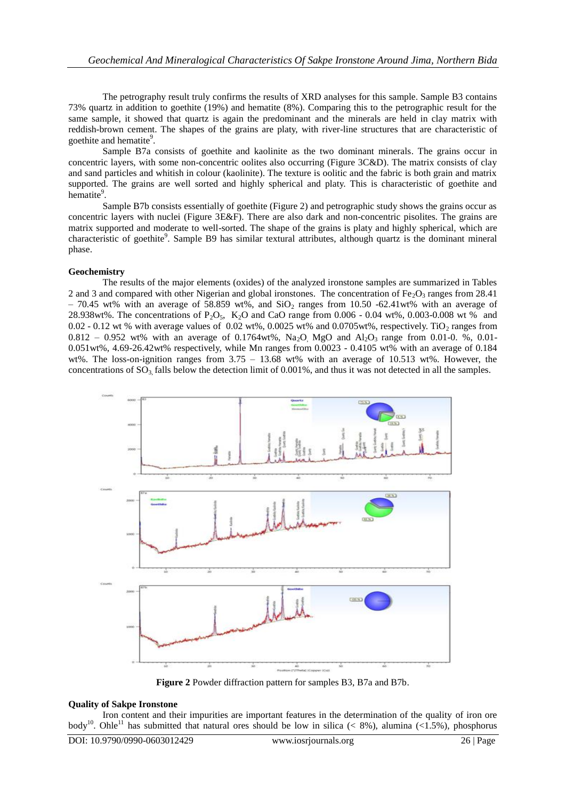The petrography result truly confirms the results of XRD analyses for this sample. Sample B3 contains 73% quartz in addition to goethite (19%) and hematite (8%). Comparing this to the petrographic result for the same sample, it showed that quartz is again the predominant and the minerals are held in clay matrix with reddish-brown cement. The shapes of the grains are platy, with river-line structures that are characteristic of goethite and hematite<sup>9</sup>.

Sample B7a consists of goethite and kaolinite as the two dominant minerals. The grains occur in concentric layers, with some non-concentric oolites also occurring (Figure 3C&D). The matrix consists of clay and sand particles and whitish in colour (kaolinite). The texture is oolitic and the fabric is both grain and matrix supported. The grains are well sorted and highly spherical and platy. This is characteristic of goethite and hematite<sup>9</sup>.

Sample B7b consists essentially of goethite (Figure 2) and petrographic study shows the grains occur as concentric layers with nuclei (Figure 3E&F). There are also dark and non-concentric pisolites. The grains are matrix supported and moderate to well-sorted. The shape of the grains is platy and highly spherical, which are characteristic of goethite<sup>9</sup>. Sample B9 has similar textural attributes, although quartz is the dominant mineral phase.

## **Geochemistry**

The results of the major elements (oxides) of the analyzed ironstone samples are summarized in Tables 2 and 3 and compared with other Nigerian and global ironstones. The concentration of Fe<sub>2</sub>O<sub>3</sub> ranges from 28.41  $-70.45$  wt% with an average of 58.859 wt%, and SiO<sub>2</sub> ranges from 10.50 -62.41wt% with an average of 28.938wt%. The concentrations of  $P_2O_5$ ,  $K_2O$  and CaO range from 0.006 - 0.04 wt%, 0.003-0.008 wt % and 0.02 - 0.12 wt % with average values of 0.02 wt%, 0.0025 wt% and 0.0705 wt%, respectively. TiO<sub>2</sub> ranges from  $0.812 - 0.952$  wt% with an average of 0.1764wt%, Na<sub>2</sub>O<sub>,</sub> MgO and Al<sub>2</sub>O<sub>3</sub> range from 0.01-0. %, 0.01-0.051wt%, 4.69-26.42wt% respectively, while Mn ranges from 0.0023 - 0.4105 wt% with an average of 0.184 wt%. The loss-on-ignition ranges from  $3.75 - 13.68$  wt% with an average of 10.513 wt%. However, the concentrations of  $SO_3$  falls below the detection limit of 0.001%, and thus it was not detected in all the samples.



**Figure 2** Powder diffraction pattern for samples B3, B7a and B7b.

#### **Quality of Sakpe Ironstone**

Iron content and their impurities are important features in the determination of the quality of iron ore body<sup>10</sup>. Ohle<sup>11</sup> has submitted that natural ores should be low in silica (< 8%), alumina (<1.5%), phosphorus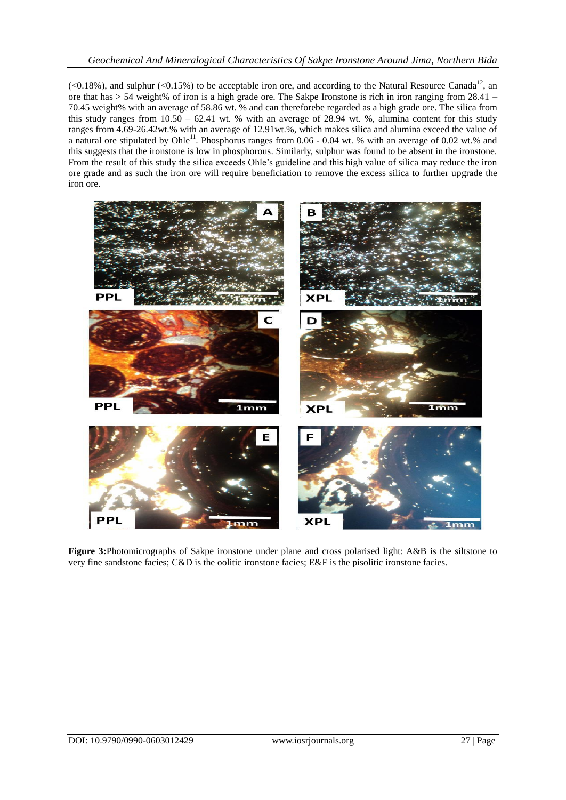# *Geochemical And Mineralogical Characteristics Of Sakpe Ironstone Around Jima, Northern Bida*

 $\langle$  <0.18%), and sulphur (<0.15%) to be acceptable iron ore, and according to the Natural Resource Canada<sup>12</sup>, an ore that has > 54 weight% of iron is a high grade ore. The Sakpe Ironstone is rich in iron ranging from 28.41 – 70.45 weight% with an average of 58.86 wt. % and can thereforebe regarded as a high grade ore. The silica from this study ranges from  $10.50 - 62.41$  wt. % with an average of 28.94 wt. %, alumina content for this study ranges from 4.69-26.42wt.% with an average of 12.91wt.%, which makes silica and alumina exceed the value of a natural ore stipulated by Ohle<sup>11</sup>. Phosphorus ranges from  $0.06$  - 0.04 wt. % with an average of 0.02 wt.% and this suggests that the ironstone is low in phosphorous. Similarly, sulphur was found to be absent in the ironstone. From the result of this study the silica exceeds Ohle's guideline and this high value of silica may reduce the iron ore grade and as such the iron ore will require beneficiation to remove the excess silica to further upgrade the iron ore.



**Figure 3:**Photomicrographs of Sakpe ironstone under plane and cross polarised light: A&B is the siltstone to very fine sandstone facies; C&D is the oolitic ironstone facies; E&F is the pisolitic ironstone facies.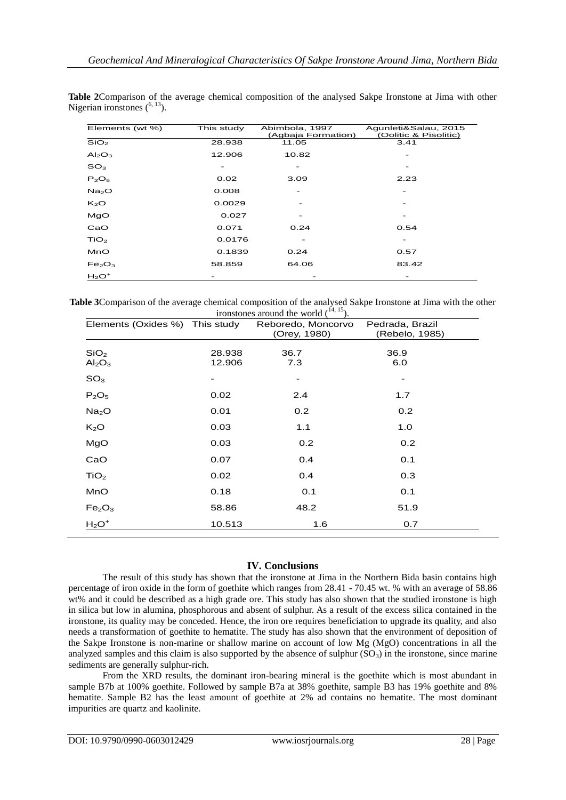| Elements (wt %)                | This study | Abimbola, 1997     | Agunleti&Salau, 2015  |
|--------------------------------|------------|--------------------|-----------------------|
|                                |            | (Agbaja Formation) | (Oolitic & Pisolitic) |
| SiO <sub>2</sub>               | 28.938     | 11.05              | 3.41                  |
| Al <sub>2</sub> O <sub>3</sub> | 12.906     | 10.82              |                       |
| SO <sub>3</sub>                |            |                    |                       |
| $P_2O_5$                       | 0.02       | 3.09               | 2.23                  |
| Na <sub>2</sub> O              | 0.008      |                    |                       |
| $K_2O$                         | 0.0029     |                    |                       |
| MgO                            | 0.027      |                    |                       |
| CaO                            | 0.071      | 0.24               | 0.54                  |
| TiO <sub>2</sub>               | 0.0176     |                    |                       |
| MnO                            | 0.1839     | 0.24               | 0.57                  |
| Fe <sub>2</sub> O <sub>3</sub> | 58.859     | 64.06              | 83.42                 |
| $H_2O^+$                       |            |                    |                       |

**Table 2**Comparison of the average chemical composition of the analysed Sakpe Ironstone at Jima with other Nigerian ironstones  $(6, 13)$ .

**Table 3**Comparison of the average chemical composition of the analysed Sakpe Ironstone at Jima with the other ironstones around the world  $(14, 15)$ .

| Elements (Oxides %) This study                     |                  | Reboredo, Moncorvo<br>(Orey, 1980) | Pedrada, Brazil<br>(Rebelo, 1985) |
|----------------------------------------------------|------------------|------------------------------------|-----------------------------------|
| SiO <sub>2</sub><br>Al <sub>2</sub> O <sub>3</sub> | 28.938<br>12.906 | 36.7<br>7.3                        | 36.9<br>6.0                       |
| SO <sub>3</sub>                                    |                  |                                    |                                   |
| $P_2O_5$                                           | 0.02             | 2.4                                | 1.7                               |
| Na <sub>2</sub> O                                  | 0.01             | 0.2                                | 0.2                               |
| K <sub>2</sub> O                                   | 0.03             | 1.1                                | 1.0                               |
| MgO                                                | 0.03             | 0.2                                | 0.2                               |
| CaO                                                | 0.07             | 0.4                                | 0.1                               |
| TiO <sub>2</sub>                                   | 0.02             | 0.4                                | 0.3                               |
| MnO                                                | 0.18             | 0.1                                | 0.1                               |
| Fe <sub>2</sub> O <sub>3</sub>                     | 58.86            | 48.2                               | 51.9                              |
| $H_2O^+$                                           | 10.513           | 1.6                                | 0.7                               |

# **IV. Conclusions**

The result of this study has shown that the ironstone at Jima in the Northern Bida basin contains high percentage of iron oxide in the form of goethite which ranges from 28.41 - 70.45 wt. % with an average of 58.86 wt% and it could be described as a high grade ore. This study has also shown that the studied ironstone is high in silica but low in alumina, phosphorous and absent of sulphur. As a result of the excess silica contained in the ironstone, its quality may be conceded. Hence, the iron ore requires beneficiation to upgrade its quality, and also needs a transformation of goethite to hematite. The study has also shown that the environment of deposition of the Sakpe Ironstone is non-marine or shallow marine on account of low Mg (MgO) concentrations in all the analyzed samples and this claim is also supported by the absence of sulphur  $(SO<sub>3</sub>)$  in the ironstone, since marine sediments are generally sulphur-rich.

From the XRD results, the dominant iron-bearing mineral is the goethite which is most abundant in sample B7b at 100% goethite. Followed by sample B7a at 38% goethite, sample B3 has 19% goethite and 8% hematite. Sample B2 has the least amount of goethite at 2% ad contains no hematite. The most dominant impurities are quartz and kaolinite.